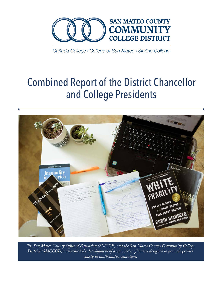

Cañada College • College of San Mateo • Skyline College

# Combined Report of the District Chancellor and College Presidents



*The San Mateo County Office of Education (SMCOE) and the San Mateo County Community College District (SMCCCD) announced the development of a new series of courses designed to promote greater equity in mathematics education.*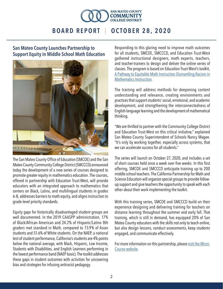

### San Mateo County Launches Partnership to Support Equity in Middle School Math Education



The San Mateo County Office of Education (SMCOE) and the San Mateo County Community College District (SMCCCD) announced today the development of a new series of courses designed to promote greater equity in mathematics education. The courses, offered in partnership with Education Trust-West, will provide educators with an integrated approach to mathematics that centers on Black, Latinx, and multilingual students in grades 6-8, addresses barriers to math equity, and aligns instruction to grade-level priority standards.

Equity gaps for historically disadvantaged student groups are well documented. In the 2019 CAASPP administration, 17% of Black/African American and 24.2% of Hispanic/Latino 8th graders met standard in Math, compared to 73.9% of Asian students and 51.6% of White students. On the NAEP, a national test of student performance, California's students are 4% points below the national average, with Black, Hispanic, Low Income, Students with Disabilities, and English Learners performing in the lowest performance band (NAEP basic). The toolkit addresses these gaps in student outcomes with activities for uncovering bias and strategies for infusing antiracist pedagogy.

Responding to this glaring need to improve math outcomes for all students, SMCOE, SMCCCD, and Education Trust-West gathered instructional designers, math experts, teachers, and teacher-trainers to design and deliver the online series of classes. The program is based on Education Trust-West's toolkit, [A Pathway to Equitable Math Instruction Dismantling Racism in](https://equitablemath.org/)  [Mathematics Instruction](https://equitablemath.org/).

The training will address methods for deepening content understanding and relevance, creating environments and practices that support students' social, emotional, and academic development, and strengthening the interconnectedness of English language learning and the development of mathematical thinking.

"We are thrilled to partner with the Community College District and Education Trust-West on this critical initiative," explained San Mateo County Superintendent of Schools Nancy Magee. "It's only by working together, especially across systems, that we can accelerate success for all students."

The series will launch on October 27, 2020, and includes a set of short courses held once a week over five weeks. In this first offering, SMCOE and SMCCCD anticipate training up to 200 middle school teachers. The California Partnership for Math and Science Education will organize special groups to provide followup support and give teachers the opportunity to speak with each other about their work implementing the toolkit.

With this training series, SMCOE and SMCCCD build on their experience designing and delivering training for teachers on distance learning throughout the summer and early fall. That training, which is still in demand, has equipped 20% of San Mateo County educators with the skills not only to teach online, but also design lessons, conduct assessments, keep students engaged, and communicate effectively.

For more information on this partnership, pleas[e visit the Micro-](https://sites.google.com/view/smcoe/micro-course)[Course website](https://sites.google.com/view/smcoe/micro-course).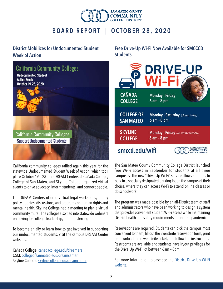

### District Mobilizes for Undocumented Student Week of Action



California community colleges rallied again this year for the statewide Undocumented Student Week of Action, which took place October 19 – 23. The DREAM Centers at Cañada College, College of San Mateo, and Skyline College organized virtual events to drive advocacy, inform students, and connect people.

The DREAM Centers offered virtual legal workshops, timely policy updates, discussions, and programs on human rights and mental health. Skyline College had a meeting to plan a virtual community mural. The colleges also tied into statewide webinars on paying for college, leadership, and transferring.

To become an ally or learn how to get involved in supporting our undocumented students, visit the campus DREAM Center websites:

Cañada College: [canadacollege.edu/dreamers](http://canadacollege.edu/dreamers) CSM: [collegeofsanmateo.edu/dreamcenter](http://collegeofsanmateo.edu/dreamcenter) Skyline College: [skylinecollege.edu/dreamcenter](http://skylinecollege.edu/dreamcenter) Free Drive-Up Wi-Fi Now Available for SMCCCD **Students** 



The San Mateo County Community College District launched free Wi-Fi access in September for students at all three campuses. The new "Drive-Up Wi-Fi" service allows students to park in a specially designated parking lot on the campus of their choice, where they can access Wi-Fi to attend online classes or do schoolwork.

The program was made possible by an all-District team of staff and administrators who have been working to design a system that provides convenient student Wi-Fi access while maintaining District health and safety requirements during the pandemic.

Reservations are required. Students can pick the campus most convenient to them, fill out the Eventbrite reservation form, print or download their Eventbrite ticket, and follow the instructions. Restrooms are available and students have in/out privileges for the Drive-Up Wi-Fi lot between 6am – 8pm.

For more information, please see the **District Drive-Up Wi-Fi** [website.](https://covid-19.smccd.edu/drive-up-wi-fi/)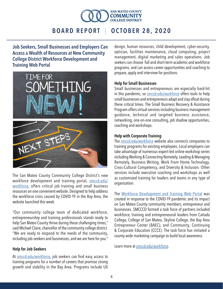

Job Seekers, Small Businesses and Employers Can Access a Wealth of Resources at New Community College District Workforce Development and Training Web Portal



The San Mateo County Community College District's new workforce development and training portal, [smccd.edu/](https://smccd.edu/workforce/) [workforce,](https://smccd.edu/workforce/) offers critical job training and small business resources on one convenient website. Designed to help address the workforce crisis caused by COVID-19 in the Bay Area, the website launched this week.

"Our community college team of dedicated workforce, entrepreneurship and training professionals stands ready to help San Mateo County thrive during these challenging times," said Michael Claire, chancellor of the community college district. "We are ready to respond to the needs of the community, including job-seekers and businesses, and we are here for you."

#### Help for Job Seekers

At [smccd.edu/workforce,](https://smccd.edu/workforce/) job seekers can find easy access to training programs for a number of careers that promise strong growth and stability in the Bay Area. Programs include UX design, human resources, child development, cyber-security, optician, facilities maintenance, cloud computing, project management, digital marketing and sales operations. Job seekers can choose full and short-term academic and workforce programs, and can access career opportunities and coaching to prepare, apply and interview for positions.

#### Help for Small Businesses

Small businesses and entrepreneurs are especially hard-hit in this pandemic, so [smccd.edu/workforce](https://smccd.edu/workforce/) offers tools to help small businesses and entrepreneurs adapt and stay afloat during these critical times. The Small Business Recovery & Assistance Program offers virtual services including business management guidance, technical and targeted business assistance, networking, one-on-one consulting, job shadow opportunities, coaching and workshops.

#### Help with Corporate Training

The [smccd.edu/workforce](https://smccd.edu/workforce/) website also connects companies to training programs for existing employees. Local employers can take advantage of numerous expert-led online workshop series including Working & Connecting Remotely, Leading & Managing Remotely, Business Writing, Work From Home Technology, Cross-Cultural Competency, and Diversity & Inclusion. Other services include executive coaching and workshops as well as customized training for leaders and teams in any type of organization.

The [Workforce Development and Training Web Portal](https://smccd.edu/workforce/) was created in response to the COVID-19 pandemic and its impact on San Mateo County community members, entrepreneur and businesses. SMCCCD formed a task force of partners included workforce, training and entrepreneurial leaders from Cañada College, College of San Mateo, Skyline College, the Bay Area Entrepreneur Center (BAEC), and Community, Continuing & Corporate Education (CCCE). The task force has initiated a county-wide marketing campaign to build local awareness.

Learn more at [smccd.edu/workforce](https://smccd.edu/workforce/).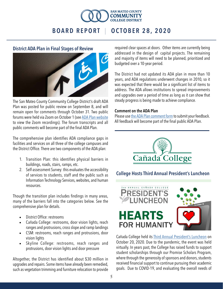

#### District ADA Plan in Final Stages of Review



The San Mateo County Community College District's draft ADA Plan was posted for public review on September 8, and will remain open for comments through October 31. Two public forums were held via Zoom on October 1 (see [ADA Plan website](https://smccd.edu/ada2020/)  to view the Zoom recordings). The forum transcripts and all public comments will become part of the final ADA Plan.

The comprehensive plan identifies ADA compliance gaps in facilities and services on all three of the college campuses and the District Office. There are two components of the ADA plan:

- 1. Transition Plan: this identifies physical barriers in buildings, roads, stairs, ramps, etc.
- 2. Self-assessment Survey: this evaluates the accessibility of services to students, staff and the public such as Information Technology Services, websites, and human resources.

Though the transition plan includes findings in many areas, many of the barriers fall into the categories below. See the comprehensive plan for details.

- District Office: restrooms
- Cañada College: restrooms, door vision lights, reach ranges and protrusions, cross slope and ramp landings
- CSM: restrooms, reach ranges and protrusions, door vision lights
- • Skyline College: restrooms, reach ranges and protrusions, door vision lights and door pressure

Altogether, the District has identified about \$30 million in upgrades and repairs. Some items have already been remedied, such as vegetation trimming and furniture relocation to provide

required clear spaces at doors. Other items are currently being addressed in the design of capital projects. The remaining and majority of items will need to be planned, prioritized and budgeted over a 10-year period.

The District had not updated its ADA plan in more than 10 years, and ADA regulations underwent changes in 2010, so it was expected that there would be a significant list of items to address. The ADA allows institutions to spread improvements and upgrades over a period of time as long as it can show that steady progress is being made to achieve compliance.

#### Comment on the ADA Plan

Please use [the ADA Plan comment form](https://smccd-czqfp.formstack.com/forms/ada_plan_feedback_form) to submit your feedback. All feedback will become part of the final public ADA Plan.



### College Hosts Third Annual President's Luncheon



Cañada College held its [Third Annual President's Luncheon](https://canadacollege.edu/luncheon/) on October 20, 2020. Due to the pandemic, the event was held virtually. In years past, the College has raised funds to support student scholarships through our Promise Scholars Program, where through the generosity of sponsors and donors, students received financial support to continue pursuing their academic goals. Due to COVID-19, and evaluating the overall needs of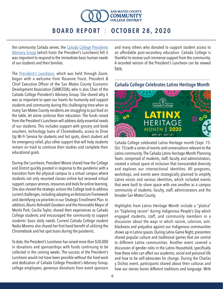

the community Cañada serves, the [Cañada College Presidents](https://canadacollege.edu/presidentsadvisorygroup/)  [Advisory Group](https://canadacollege.edu/presidentsadvisorygroup/) (which hosts the President's Luncheon) felt it was important to respond to the immediate basic human needs of our students and their families.

The [President's Luncheon,](https://www.youtube.com/watch?v=_mJrX7ZLlw0&feature=youtu.be) which was held through Zoom, began with a welcome from Rosanne Foust, President & Chief Executive Officer of the San Mateo County Economic Development Association (SAMCEDA), who is also Chair of the Cañada College President's Advisory Group. She shared why it was so important to open our hearts for humanity and support students and community during this challenging time when so many San Mateo County residents are struggling to put food on the table, let alone continue their education. The funds raised from the President's Luncheon will address daily essential needs of our students. This includes support with grocery and book vouchers, technology loans of Chromebooks, access to Drive Up Wi-Fi Service for students and hot spots, direct student aid for emergency relief, plus other support that will help students remain on track to continue their studies and complete their educational goals.

During the Luncheon, President Moore shared how the College and District quickly pivoted in response to the pandemic with a transition from the physical campus to a virtual campus where students not only resumed classes online but received virtual support, campus services, resources and tools for online learning. She also shared the strategic actions the College took to address current challenges, including adopting an Antiracism Framework and identifying six priorities in our Strategic Enrollment Plan. In addition, Alums Rohndell Goodwin and the Honorable Mayor of Menlo Park, Cecilia Taylor, shared their experiences as Cañada College students and encouraged the community to support students' basic daily needs. Current Cañada College student Nadia Moreno also shared her first-hand benefit of utilizing the Chromebook and hot spot loans during the pandemic.

To date, the President's Luncheon has raised more than \$30,000 in donations and sponsorships with funds continuing to be collected in the coming weeks. The success of the President's Luncheon would not have been possible without the hard work and dedication of Cañada College President's Advisory Group, college employees, generous donations from event sponsors

and many others who donated to support student access to an affordable post-secondary education. Cañada College is thankful to receive such immense support from the community. A recorded version of the President's Luncheon can be viewed [here.](https://www.youtube.com/watch?v=_mJrX7ZLlw0&feature=youtu.be)



Cañada College Celebrates Latinx Heritage Month

Cañada College celebrated Latinx Heritage month (Sept. 15- Oct. 15) with a series of events and conversations relevant to the Latinx community. The Cañada Latinx Heritage Month Planning Team, comprised of students, staff, faculty and administrators, created a virtual space of inclusion that transcended diversity and explores our intersectional identities. All programs, workshops, and events were strategically planned to amplify Latinx voices and various identities, which included events that were built to share space with one another as a campus community of students, faculty, staff, administrators and the broader San Mateo County.

Highlights from Latinx Heritage Month include a "platica" on "Exploring racism" during Indigenous People's Day which engaged students, staff, and community members in a discussion about the ways in which racism, colorism, antiblackness and prejudice against our Indigenous communities shows up in Latinx spaces. During Latinx Game Night, presenters shared popular culture and traditional games that are central to different Latinx communities. Another event covered a discussion of gender roles in the Latinx Household, specifically how these roles can affect our academic, social and personal life and how to be self-advocates for change. During the Charlas y Dichos event, participants shared about their culturas and how our stories honor different traditions and language. With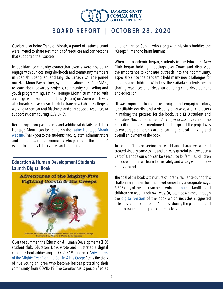

October also being Transfer Month, a panel of Latinx alumni were invited to share testimonios of resources and connections that supported their success.

In addition, community connection events were hosted to engage with our local neighborhoods and community members in Spanish, Spanglish, and English. Cañada College joined our Half Moon Bay partner, Ayudando Latinos a Soñar (ALAS), to learn about advocacy projects, community counseling and youth programming. Latinx Heritage Month culminated with a college-wide Foro Comunitario (Forum) on Zoom which was also broadcast live on Facebook to share how Cañada College is working to combat Anti-Blackness and share special resources to support students during COVID-19.

Recordings from past events and additional details on Latinx Heritage Month can be found on the [Latinx Heritage Month](https://canadacollege.edu/lhm/) [website.](https://canadacollege.edu/lhm/) Thank you to the students, faculty, staff, administrators and broader campus community who joined in the months' events to amplify Latinx voices and identities.

#### Education & Human Development Students Launch Digital Book



Over the summer, the Education & Human Development (EHD) student club, Educators Now, wrote and illustrated a digital children's book addressing the COVID-19 pandemic. ["Adventures](https://www.youtube.com/watch?v=ZU3I2sR8Se4&feature=youtu.be)  [of the Mighty Five: Fighting Corvin & His Creeps"](https://www.youtube.com/watch?v=ZU3I2sR8Se4&feature=youtu.be) tells the story of five young children who become heroes protecting their community from COVID-19. The Coronavirus is personified as

an alien named Corvin, who along with his virus buddies the "Creeps," intend to harm humans.

When the pandemic began, students in the Educators Now Club began holding meetings over Zoom and discussed the importance to continue outreach into their community, especially since the pandemic held many new challenges for families and children. With this, the Cañada students began sharing resources and ideas surrounding child development and education.

"It was important to me to use bright and engaging colors, identifiable details, and a visually diverse cast of characters in making the pictures for the book, said EHD student and Educators Now Club member, Alia Tu, who was also one of the book illustrators. She mentioned that the goal of the project was to encourage children's active learning, critical thinking and overall enjoyment of the book.

Tu added, "I loved seeing the world and characters we had created visually come to life and am very grateful to have been a part of it. I hope our work can be a resource for families, children and educators as we learn to live safely and wisely with the new reality around us."

The goal of the book is to nurture children's resilience during this challenging time in fun and developmentally appropriate ways. A PDF copy of the book can be downloaded [here](https://www.youtube.com/redirect?redir_token=QUFFLUhqbjhsWWVPZzRYMko2eXlDbUFGMk8wYjdhTDdiUXxBQ3Jtc0tud25kWGdOeXpjVGdEa2IyLVBvcTgwU0IzNEdTRENnVmNfUElxVG13UzFDeTBLUUdiSnF1YzZhblZwT1hpZHUtNmVNOEttWDFzSzhCVjFvMTdQN0xNX0dhQXRocHhNMmx2ejF0aHlOMmxOa283QmNraw%3D%3D&v=ZU3I2sR8Se4&q=https%3A%2F%2Fdrive.google.com%2Fuc%3Fexport%3Ddownload%26id%3D1qhxAYIS6vFk8T-7bzQdybwhcyWniF2aO&event=video_description) so families and children can read it their own way. Or, it can be watched through the [digital version](https://www.youtube.com/watch?v=ZU3I2sR8Se4&feature=youtu.be) of the book which includes suggested activities to help children be "heroes" during the pandemic and to encourage them to protect themselves and others.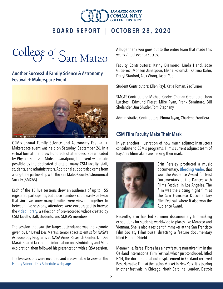



### Another Successful Family Science & Astronomy Festival + Makerspace Event



CSM's annual Family Science and Astronomy Festival + Makerspace event was held on Saturday, September 26, in a virtual format that drew hundreds of attendees. Spearheaded by Physics Professor Mohsen Janatpour, the event was made possible by the dedicated efforts of many CSM faculty, staff, students, and administrators. Additional support also came from a long-time partnership with the San Mateo County Astronomical Society (SMCAS).

Each of the 15 live sessions drew an audience of up to 155 registered participants, but those numbers could easily be twice that since we know many families were viewing together. In between live sessions, attendees were encouraged to browse the [video library](https://collegeofsanmateo.edu/familyscienceday/videolibrary.php), a selection of pre-recorded videos created by CSM faculty, staff, students, and SMCAS members.

The session that saw the largest attendance was the keynote given by Dr. David Des Marais, senior space scientist for NASA's Astrobiology Programs at NASA Ames Research Center. Dr. Des Marais shared fascinating information on astrobiology and Mars exploration, then followed his presentation with a Q&A session.

The live sessions were recorded and are available to view on the [Family Science Day Schedule webpage.](https://collegeofsanmateo.edu/familyscienceday/schedule.php)

A huge thank you goes out to the entire team that made this year's virtual event a success!

Faculty Contributors: Kathy Diamond, Linda Hand, Jose Gutierrez, Mohsen Janatpour, Elisha Polomski, Katrina Rahn, Darryl Stanford, Alex Wong, Jason Yap

Student Contributors: Ellen Rayl, Katie Toman, Zac Turner

SMCAS Contributors: Michael Cooke, Chanan Greenberg, John Lucchesi, Edmund Pieret, Mike Ryan, Frank Seminaro, Bill Shelander, Jim Shuder, Tom Stephany

Administrative Contributors: Elnora Tayag, Charlene Frontiera

### CSM Film Faculty Make Their Mark

In yet another illustration of how much adjunct instructors contribute to CSM's programs, Film's current adjunct team of Bay Area filmmakers are making their mark.



Erin Persley produced a music documentary, [Bleeding Audio](http://www.bleeding-audio.com/), that won the Audience Award for Best Documentary at the Dances with Films Festival in Los Angeles. The film was the closing night film at the San Francisco Documentary Film Festival, where it also won the Audience Award.

Recently, Erin has led summer documentary filmmaking expeditions for students worldwide to places like Morocco and Vietnam. She is also a resident filmmaker at the San Francisco Film Society FilmHouse, directing a feature documentary titled Human Shield

Meanwhile, Rafael Flores has a new feature narrative film in the Oakland International Film Festival, which just concluded. Titled E 14, the docudrama about displacement in Oakland received Best Narrative Film at the Latino Market in New York. It is touring in other festivals in Chicago, North Carolina, London, Detroit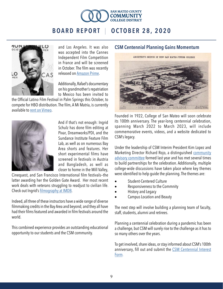



and Los Angeles. It was also was accepted into the Cannes Independent Film Competition in France and will be screened in October. The film was recently released on [Amazon Prime.](https://www.amazon.com/14-Netta-Brielle/dp/B08HFNYFNP/ref=sr_1_1?dchild=1&keywords=E.14&qid=1601236249&s=instant-video&sr=1-1)

Additionally, Rafael's documentary on his grandmother's repatriation to Mexico has been invited to

the Official Latino Film Festival in Palm Springs this October, to compete for HBO distribution. The film, A Mi Matria, is currently available to [rent on Vimeo.](https://vimeo.com/ondemand/amimatria/201334295)



And if that's not enough: Ingrid Schulz has done film editing at Pixar, Dreamworks/PDI, and the Sundance Institute Feature Film Lab, as well as on numerous Bay Area shorts and features. Her short experimental films have screened in festivals in Austria and Bangladesh, as well as closer to home in the Mill Valley,

Cinequest, and San Francisco International film festivals—the latter awarding her the Golden Gate Award. Her most recent work deals with veterans struggling to readjust to civilian life. Check out Ingrid's [filmography at IMDB.](https://www.imdb.com/name/nm2729707/?ref_=fn_al_nm_1)

Indeed, all three of these instructors have a wide range of diverse filmmaking credits in the Bay Area and beyond; and they all have had their films featured and awarded in film festivals around the world.

This combined experience provides an outstanding educational opportunity to our students and the CSM community.

### CSM Centennial Planning Gains Momentum



Founded in 1922, College of San Mateo will soon celebrate its 100th anniversary. The year-long centennial celebration, spanning March 2022 to March 2023, will include commemorative events, videos, and a website dedicated to CSM's legacy.

Under the leadership of CSM Interim President Kim Lopez and Marketing Director Richard Rojo, a distinguished [community](https://collegeofsanmateo.edu/president/centennialcommittee.php)  [advisory committee](https://collegeofsanmateo.edu/president/centennialcommittee.php) formed last year and has met several times to build partnerships for the celebration. Additionally, multiple college-wide discussions have taken place where key themes were identified to help guide the planning. The themes are:

- Student-Centered Culture
- Responsiveness to the Commnity
- History and Legacy
- Campus Location and Beauty

The next step will involve building a planning team of faculty, staff, students, alumni and retirees.

Planning a centennial celebration during a pandemic has been a challenge, but CSM will surely rise to the challenge as it has to so many others over the years.

To get involved, share ideas, or stay informed about CSM's 100th anniversary, fill out and submit the CSM Centennial Interest [Form.](https://collegeofsanmateo.edu/president/centennial.php)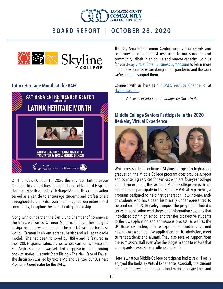



### Latinx Heritage Month at the BAEC



On Thursday, October 15, 2020 the Bay Area Entrepreneur Center, held a virtual fireside chat in honor of National Hispanic Heritage Month or Latinx Heritage Month. This conversation served as a vehicle to encourage students and professionals throughout the Latinx diaspora and throughout our entire global community, to explore the path of entrepreneurship.

Along with our partner, the San Bruno Chamber of Commerce, the BAEC welcomed Carmen Milagro, to share her insights navigating our new normal and on being a Latina in the business world. Carmen is an entrepreneur-artist and a Hispanic role model. She has been honored by HISPA and is featured in their 20k Hispanic/ Latinx Stories series. Carmen is a Hispanic Star Ambassador and was selected to appear in the upcoming book of stories, Hispanic Stars Rising – The New Face of Power. The discussion was led by Nicole Moreno Deinzer, our Business Programs Coordinator for the BAEC.

The Bay Area Entrepreneur Center hosts virtual events and continues to offer no-cost resources to our students and community, albeit in an online and remote capacity. Join us for our [3-day Virtual Small Business Symposium](https://www.eventbrite.com/e/small-business-symposium-lessons-in-adapting-tickets-125366098375) to learn more about how businesses are doing in this pandemic and the work we're doing to support them.

Connect with us here at our [BAEC Youtube Channel](https://www.youtube.com/channel/UCIlSP0MVZfPcv56uRLB4XZw/about?disable_polymer=1) or at [skylinebaec.org.](http://skylinebaec.org)

*Article by Pcyeta Stroud | Images by Olivia Vialau*

### Middle College Seniors Participate in the 2020 Berkeley Virtual Experience



While most students continue at Skyline College after high school graduation, the Middle College program does provide support and counseling services for seniors who are four-year college bound. For example, this year, the Middle College program has had students participate in the Berkeley Virtual Experience, a program designed to help first-generation, low-income, and/ or students who have been historically underrepresented to succeed on the UC Berkeley campus. The program included a series of application workshops and information sessions that introduced both high school and transfer prospective students to the UC application and admissions process, as well as the UC Berkeley undergraduate experience. Students learned how to craft a competitive application for UC admission, meet current students and alumni. They also receive support from the admissions staff even after the program ends to ensure that participants have a strong college application.

Here is what our Middle College participants had to say: "I really enjoyed the Berkeley Virtual Experience, especially the student panel as it allowed me to learn about various perspectives and